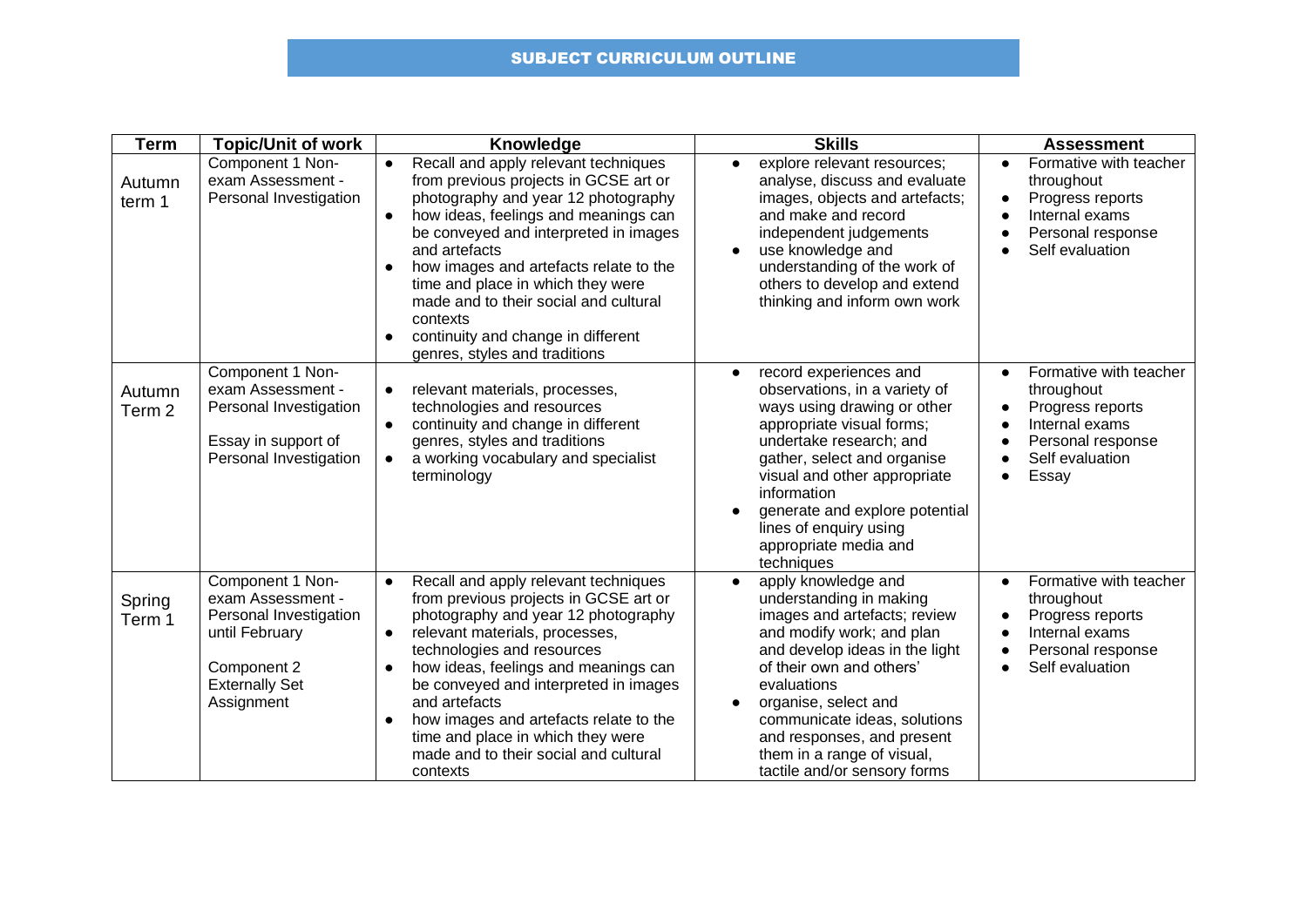## SUBJECT CURRICULUM OUTLINE

| <b>Term</b>                 | <b>Topic/Unit of work</b>                                                                                                               | Knowledge                                                                                                                                                                                                                                                                                                                                                                                                                                                                | <b>Skills</b>                                                                                                                                                                                                                                                                                                                                             | <b>Assessment</b>                                                                                                                                                                                         |
|-----------------------------|-----------------------------------------------------------------------------------------------------------------------------------------|--------------------------------------------------------------------------------------------------------------------------------------------------------------------------------------------------------------------------------------------------------------------------------------------------------------------------------------------------------------------------------------------------------------------------------------------------------------------------|-----------------------------------------------------------------------------------------------------------------------------------------------------------------------------------------------------------------------------------------------------------------------------------------------------------------------------------------------------------|-----------------------------------------------------------------------------------------------------------------------------------------------------------------------------------------------------------|
| Autumn<br>term 1            | Component 1 Non-<br>exam Assessment -<br>Personal Investigation                                                                         | Recall and apply relevant techniques<br>$\bullet$<br>from previous projects in GCSE art or<br>photography and year 12 photography<br>how ideas, feelings and meanings can<br>$\bullet$<br>be conveyed and interpreted in images<br>and artefacts<br>how images and artefacts relate to the<br>time and place in which they were<br>made and to their social and cultural<br>contexts<br>continuity and change in different<br>$\bullet$<br>genres, styles and traditions | explore relevant resources;<br>$\bullet$<br>analyse, discuss and evaluate<br>images, objects and artefacts;<br>and make and record<br>independent judgements<br>use knowledge and<br>understanding of the work of<br>others to develop and extend<br>thinking and inform own work                                                                         | Formative with teacher<br>$\bullet$<br>throughout<br>Progress reports<br>$\bullet$<br>Internal exams<br>$\bullet$<br>Personal response<br>$\bullet$<br>Self evaluation                                    |
| Autumn<br>Term <sub>2</sub> | Component 1 Non-<br>exam Assessment -<br>Personal Investigation<br>Essay in support of<br>Personal Investigation                        | relevant materials, processes,<br>$\bullet$<br>technologies and resources<br>continuity and change in different<br>genres, styles and traditions<br>a working vocabulary and specialist<br>terminology                                                                                                                                                                                                                                                                   | record experiences and<br>$\bullet$<br>observations, in a variety of<br>ways using drawing or other<br>appropriate visual forms;<br>undertake research; and<br>gather, select and organise<br>visual and other appropriate<br>information<br>generate and explore potential<br>lines of enquiry using<br>appropriate media and<br>techniques              | Formative with teacher<br>$\bullet$<br>throughout<br>Progress reports<br>$\bullet$<br>Internal exams<br>$\bullet$<br>Personal response<br>$\bullet$<br>Self evaluation<br>$\bullet$<br>Essay<br>$\bullet$ |
| Spring<br>Term 1            | Component 1 Non-<br>exam Assessment -<br>Personal Investigation<br>until February<br>Component 2<br><b>Externally Set</b><br>Assignment | Recall and apply relevant techniques<br>$\bullet$<br>from previous projects in GCSE art or<br>photography and year 12 photography<br>relevant materials, processes,<br>$\bullet$<br>technologies and resources<br>how ideas, feelings and meanings can<br>be conveyed and interpreted in images<br>and artefacts<br>how images and artefacts relate to the<br>time and place in which they were<br>made and to their social and cultural<br>contexts                     | apply knowledge and<br>$\bullet$<br>understanding in making<br>images and artefacts; review<br>and modify work; and plan<br>and develop ideas in the light<br>of their own and others'<br>evaluations<br>organise, select and<br>communicate ideas, solutions<br>and responses, and present<br>them in a range of visual,<br>tactile and/or sensory forms | Formative with teacher<br>$\bullet$<br>throughout<br>Progress reports<br>$\bullet$<br>Internal exams<br>$\bullet$<br>Personal response<br>$\bullet$<br>Self evaluation<br>$\bullet$                       |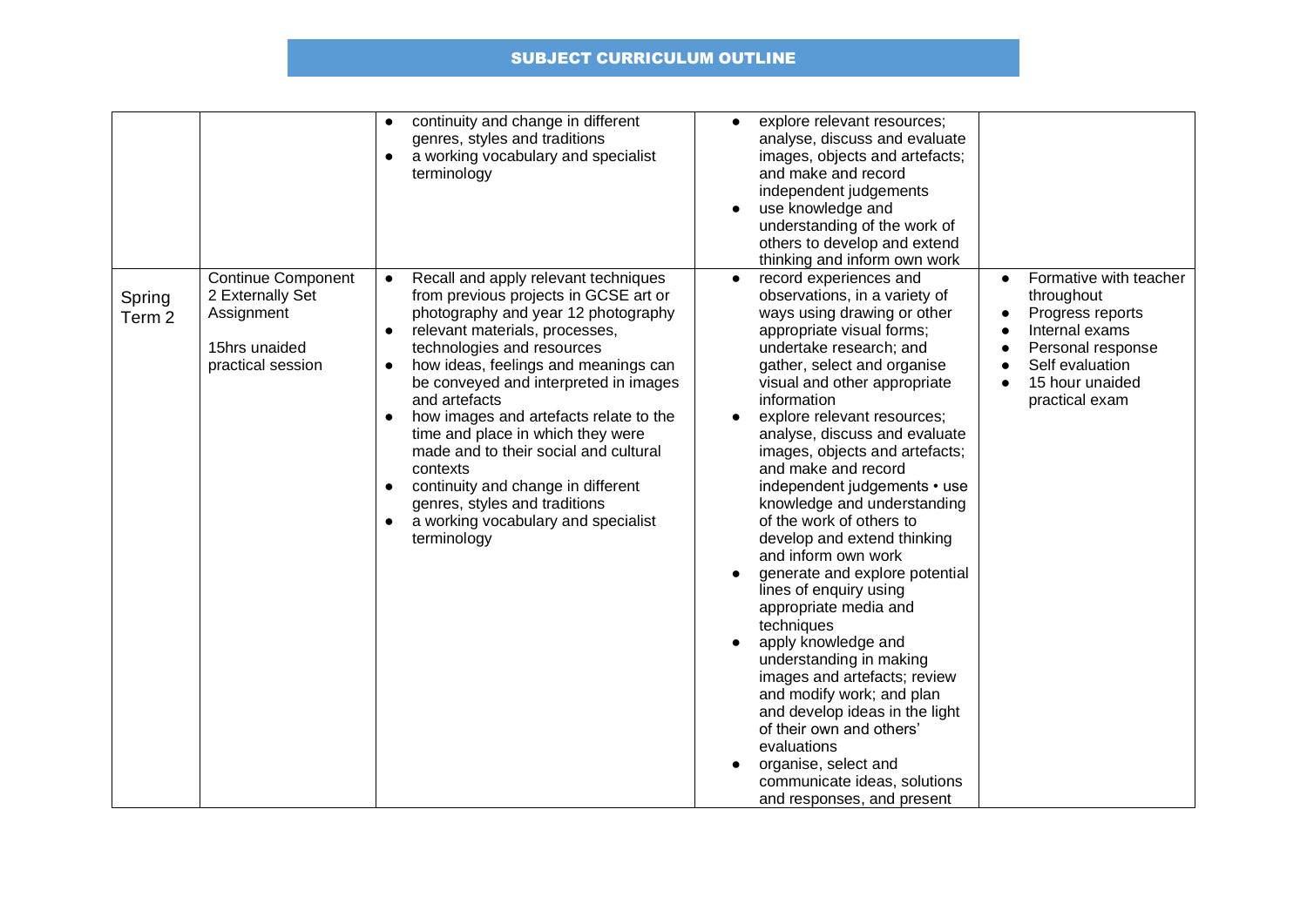## SUBJECT CURRICULUM OUTLINE

|                             |                                                                                                   | continuity and change in different<br>$\bullet$<br>genres, styles and traditions<br>a working vocabulary and specialist<br>$\bullet$<br>terminology                                                                                                                                                                                                                                                                                                                                                                                                                                            | explore relevant resources;<br>$\bullet$<br>analyse, discuss and evaluate<br>images, objects and artefacts;<br>and make and record<br>independent judgements<br>use knowledge and<br>understanding of the work of<br>others to develop and extend<br>thinking and inform own work                                                                                                                                                                                                                                                                                                                                                                                                                                                                                                                                                                                                                                     |                                                                                                                                                                                                |
|-----------------------------|---------------------------------------------------------------------------------------------------|------------------------------------------------------------------------------------------------------------------------------------------------------------------------------------------------------------------------------------------------------------------------------------------------------------------------------------------------------------------------------------------------------------------------------------------------------------------------------------------------------------------------------------------------------------------------------------------------|-----------------------------------------------------------------------------------------------------------------------------------------------------------------------------------------------------------------------------------------------------------------------------------------------------------------------------------------------------------------------------------------------------------------------------------------------------------------------------------------------------------------------------------------------------------------------------------------------------------------------------------------------------------------------------------------------------------------------------------------------------------------------------------------------------------------------------------------------------------------------------------------------------------------------|------------------------------------------------------------------------------------------------------------------------------------------------------------------------------------------------|
| Spring<br>Term <sub>2</sub> | <b>Continue Component</b><br>2 Externally Set<br>Assignment<br>15hrs unaided<br>practical session | Recall and apply relevant techniques<br>$\bullet$<br>from previous projects in GCSE art or<br>photography and year 12 photography<br>relevant materials, processes,<br>technologies and resources<br>how ideas, feelings and meanings can<br>$\bullet$<br>be conveyed and interpreted in images<br>and artefacts<br>how images and artefacts relate to the<br>time and place in which they were<br>made and to their social and cultural<br>contexts<br>continuity and change in different<br>$\bullet$<br>genres, styles and traditions<br>a working vocabulary and specialist<br>terminology | record experiences and<br>$\bullet$<br>observations, in a variety of<br>ways using drawing or other<br>appropriate visual forms;<br>undertake research; and<br>gather, select and organise<br>visual and other appropriate<br>information<br>explore relevant resources;<br>$\bullet$<br>analyse, discuss and evaluate<br>images, objects and artefacts;<br>and make and record<br>independent judgements • use<br>knowledge and understanding<br>of the work of others to<br>develop and extend thinking<br>and inform own work<br>generate and explore potential<br>lines of enquiry using<br>appropriate media and<br>techniques<br>apply knowledge and<br>understanding in making<br>images and artefacts; review<br>and modify work; and plan<br>and develop ideas in the light<br>of their own and others'<br>evaluations<br>organise, select and<br>communicate ideas, solutions<br>and responses, and present | Formative with teacher<br>$\bullet$<br>throughout<br>Progress reports<br>Internal exams<br>$\bullet$<br>Personal response<br>$\bullet$<br>Self evaluation<br>15 hour unaided<br>practical exam |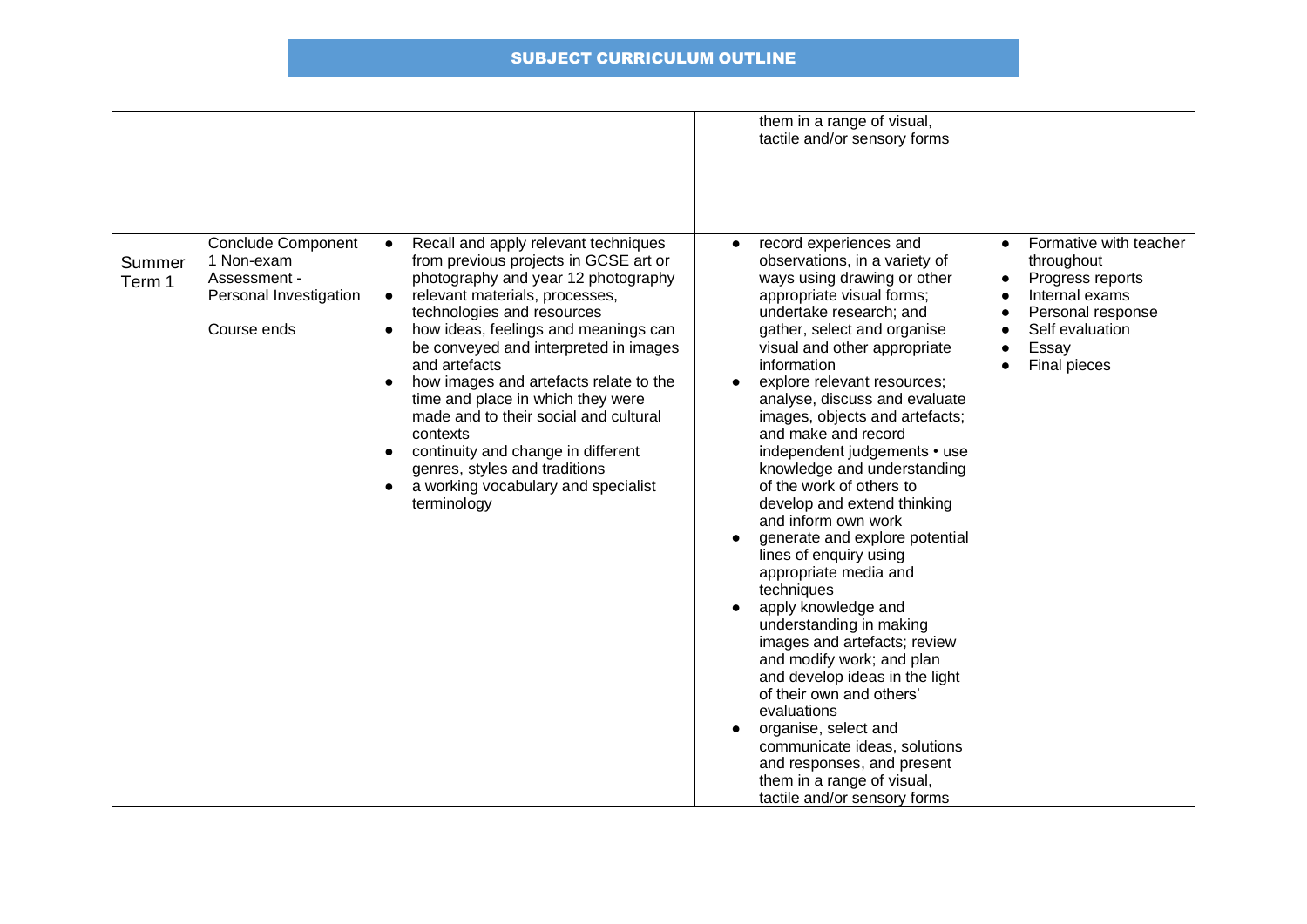|                                                                                                                      |                                                                                                                                                                                                                                                                                                                                                                                                                                                                                                                                                                                                                                       | them in a range of visual,<br>tactile and/or sensory forms                                                                                                                                                                                                                                                                                                                                                                                                                                                                                                                                                                                                                                                                                                                                                                                                                                                                                                |                                                                                                                                                                       |
|----------------------------------------------------------------------------------------------------------------------|---------------------------------------------------------------------------------------------------------------------------------------------------------------------------------------------------------------------------------------------------------------------------------------------------------------------------------------------------------------------------------------------------------------------------------------------------------------------------------------------------------------------------------------------------------------------------------------------------------------------------------------|-----------------------------------------------------------------------------------------------------------------------------------------------------------------------------------------------------------------------------------------------------------------------------------------------------------------------------------------------------------------------------------------------------------------------------------------------------------------------------------------------------------------------------------------------------------------------------------------------------------------------------------------------------------------------------------------------------------------------------------------------------------------------------------------------------------------------------------------------------------------------------------------------------------------------------------------------------------|-----------------------------------------------------------------------------------------------------------------------------------------------------------------------|
| <b>Conclude Component</b><br>1 Non-exam<br>Summer<br>Assessment -<br>Term 1<br>Personal Investigation<br>Course ends | Recall and apply relevant techniques<br>$\bullet$<br>from previous projects in GCSE art or<br>photography and year 12 photography<br>relevant materials, processes,<br>$\bullet$<br>technologies and resources<br>how ideas, feelings and meanings can<br>$\bullet$<br>be conveyed and interpreted in images<br>and artefacts<br>how images and artefacts relate to the<br>$\bullet$<br>time and place in which they were<br>made and to their social and cultural<br>contexts<br>continuity and change in different<br>$\bullet$<br>genres, styles and traditions<br>a working vocabulary and specialist<br>$\bullet$<br>terminology | record experiences and<br>observations, in a variety of<br>ways using drawing or other<br>appropriate visual forms;<br>undertake research; and<br>gather, select and organise<br>visual and other appropriate<br>information<br>explore relevant resources;<br>analyse, discuss and evaluate<br>images, objects and artefacts;<br>and make and record<br>independent judgements • use<br>knowledge and understanding<br>of the work of others to<br>develop and extend thinking<br>and inform own work<br>generate and explore potential<br>lines of enquiry using<br>appropriate media and<br>techniques<br>apply knowledge and<br>understanding in making<br>images and artefacts; review<br>and modify work; and plan<br>and develop ideas in the light<br>of their own and others'<br>evaluations<br>organise, select and<br>communicate ideas, solutions<br>and responses, and present<br>them in a range of visual,<br>tactile and/or sensory forms | Formative with teacher<br>$\bullet$<br>throughout<br>Progress reports<br>Internal exams<br>Personal response<br>$\bullet$<br>Self evaluation<br>Essay<br>Final pieces |